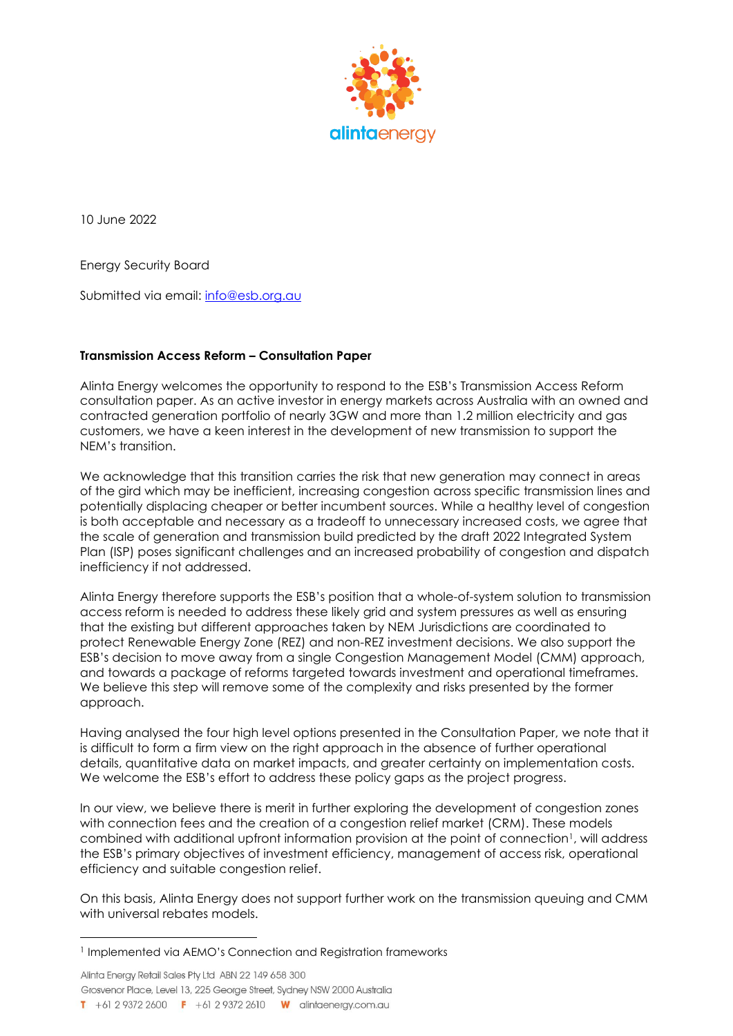

10 June 2022

Energy Security Board

Submitted via email: [info@esb.org.au](mailto:info@esb.org.au)

## **Transmission Access Reform – Consultation Paper**

Alinta Energy welcomes the opportunity to respond to the ESB's Transmission Access Reform consultation paper. As an active investor in energy markets across Australia with an owned and contracted generation portfolio of nearly 3GW and more than 1.2 million electricity and gas customers, we have a keen interest in the development of new transmission to support the NEM's transition.

We acknowledge that this transition carries the risk that new generation may connect in areas of the gird which may be inefficient, increasing congestion across specific transmission lines and potentially displacing cheaper or better incumbent sources. While a healthy level of congestion is both acceptable and necessary as a tradeoff to unnecessary increased costs, we agree that the scale of generation and transmission build predicted by the draft 2022 Integrated System Plan (ISP) poses significant challenges and an increased probability of congestion and dispatch inefficiency if not addressed.

Alinta Energy therefore supports the ESB's position that a whole-of-system solution to transmission access reform is needed to address these likely grid and system pressures as well as ensuring that the existing but different approaches taken by NEM Jurisdictions are coordinated to protect Renewable Energy Zone (REZ) and non-REZ investment decisions. We also support the ESB's decision to move away from a single Congestion Management Model (CMM) approach, and towards a package of reforms targeted towards investment and operational timeframes. We believe this step will remove some of the complexity and risks presented by the former approach.

Having analysed the four high level options presented in the Consultation Paper, we note that it is difficult to form a firm view on the right approach in the absence of further operational details, quantitative data on market impacts, and greater certainty on implementation costs. We welcome the ESB's effort to address these policy gaps as the project progress.

In our view, we believe there is merit in further exploring the development of congestion zones with connection fees and the creation of a congestion relief market (CRM). These models combined with additional upfront information provision at the point of connection<sup>1</sup>, will address the ESB's primary objectives of investment efficiency, management of access risk, operational efficiency and suitable congestion relief.

On this basis, Alinta Energy does not support further work on the transmission queuing and CMM with universal rebates models.

Alinta Energy Retail Sales Pty Ltd ABN 22 149 658 300 Grosvenor Place, Level 13, 225 George Street, Sydney NSW 2000 Australia T +61 2 9372 2600 F +61 2 9372 2610 W alintaenergy.com.au

<sup>&</sup>lt;sup>1</sup> Implemented via AEMO's Connection and Registration frameworks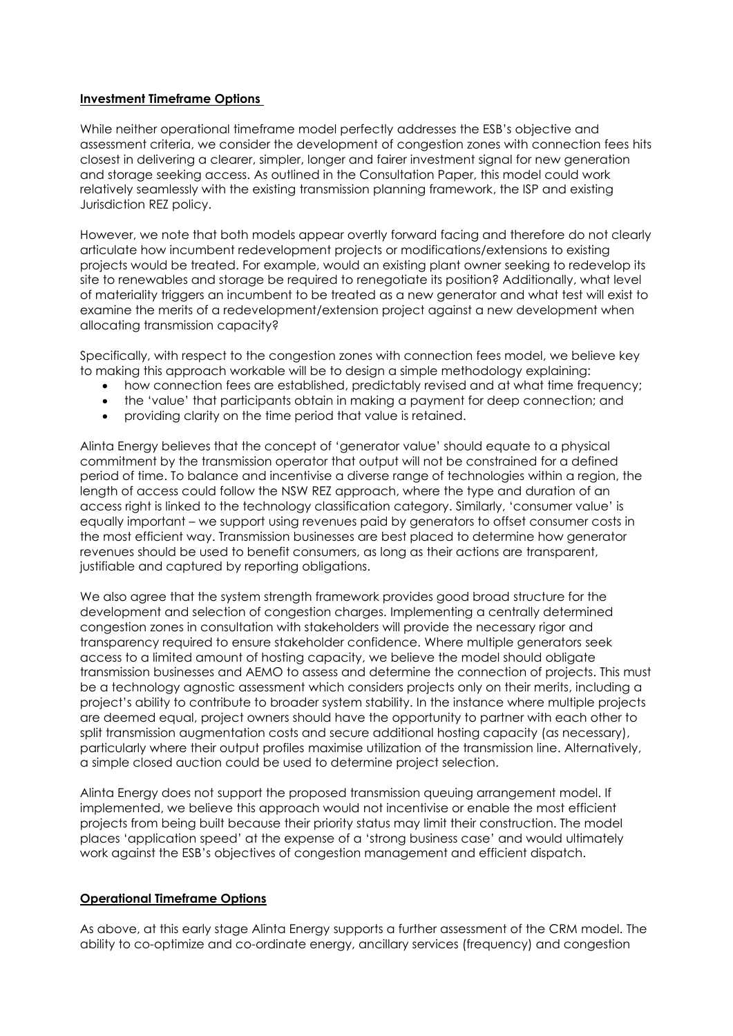## **Investment Timeframe Options**

While neither operational timeframe model perfectly addresses the ESB's objective and assessment criteria, we consider the development of congestion zones with connection fees hits closest in delivering a clearer, simpler, longer and fairer investment signal for new generation and storage seeking access. As outlined in the Consultation Paper, this model could work relatively seamlessly with the existing transmission planning framework, the ISP and existing Jurisdiction REZ policy.

However, we note that both models appear overtly forward facing and therefore do not clearly articulate how incumbent redevelopment projects or modifications/extensions to existing projects would be treated. For example, would an existing plant owner seeking to redevelop its site to renewables and storage be required to renegotiate its position? Additionally, what level of materiality triggers an incumbent to be treated as a new generator and what test will exist to examine the merits of a redevelopment/extension project against a new development when allocating transmission capacity?

Specifically, with respect to the congestion zones with connection fees model, we believe key to making this approach workable will be to design a simple methodology explaining:

- how connection fees are established, predictably revised and at what time frequency;
- the 'value' that participants obtain in making a payment for deep connection; and
- providing clarity on the time period that value is retained.

Alinta Energy believes that the concept of 'generator value' should equate to a physical commitment by the transmission operator that output will not be constrained for a defined period of time. To balance and incentivise a diverse range of technologies within a region, the length of access could follow the NSW REZ approach, where the type and duration of an access right is linked to the technology classification category. Similarly, 'consumer value' is equally important – we support using revenues paid by generators to offset consumer costs in the most efficient way. Transmission businesses are best placed to determine how generator revenues should be used to benefit consumers, as long as their actions are transparent, justifiable and captured by reporting obligations.

We also agree that the system strength framework provides good broad structure for the development and selection of congestion charges. Implementing a centrally determined congestion zones in consultation with stakeholders will provide the necessary rigor and transparency required to ensure stakeholder confidence. Where multiple generators seek access to a limited amount of hosting capacity, we believe the model should obligate transmission businesses and AEMO to assess and determine the connection of projects. This must be a technology agnostic assessment which considers projects only on their merits, including a project's ability to contribute to broader system stability. In the instance where multiple projects are deemed equal, project owners should have the opportunity to partner with each other to split transmission augmentation costs and secure additional hosting capacity (as necessary), particularly where their output profiles maximise utilization of the transmission line. Alternatively, a simple closed auction could be used to determine project selection.

Alinta Energy does not support the proposed transmission queuing arrangement model. If implemented, we believe this approach would not incentivise or enable the most efficient projects from being built because their priority status may limit their construction. The model places 'application speed' at the expense of a 'strong business case' and would ultimately work against the ESB's objectives of congestion management and efficient dispatch.

## **Operational Timeframe Options**

As above, at this early stage Alinta Energy supports a further assessment of the CRM model. The ability to co-optimize and co-ordinate energy, ancillary services (frequency) and congestion